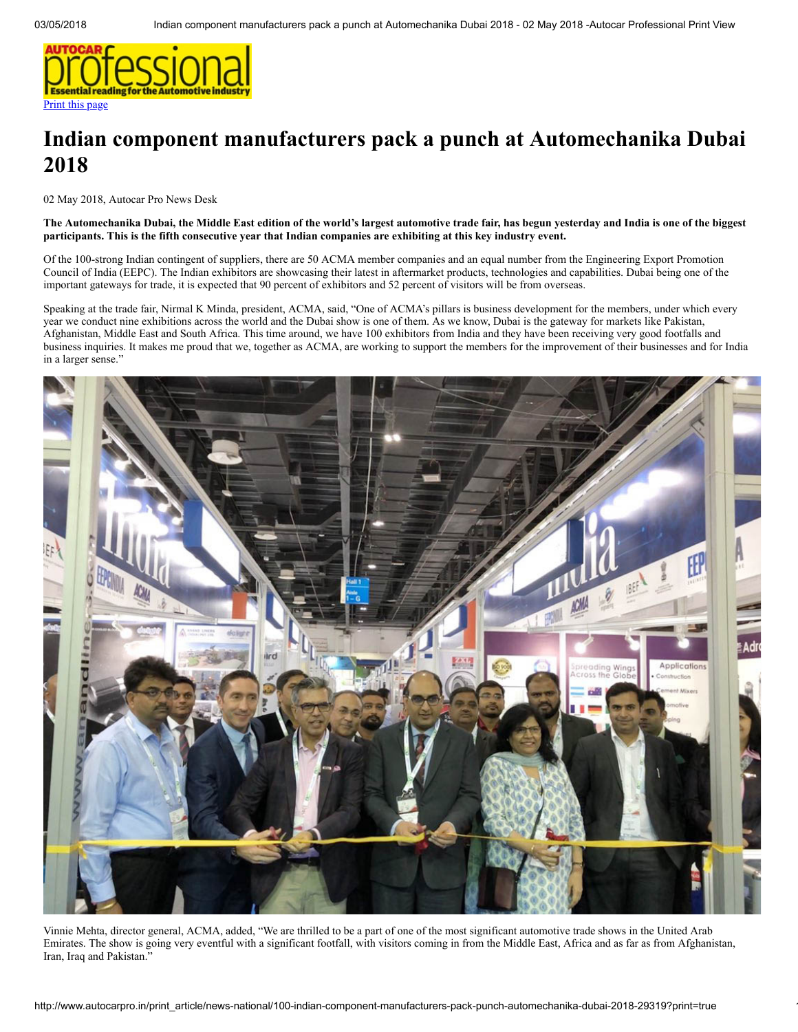

## Indian component manufacturers pack a punch at Automechanika Dubai 2018

02 May 2018, Autocar Pro News Desk

## The Automechanika Dubai, the Middle East edition of the world's largest automotive trade fair, has begun yesterday and India is one of the biggest participants. This is the fifth consecutive year that Indian companies are exhibiting at this key industry event.

Of the 100-strong Indian contingent of suppliers, there are 50 ACMA member companies and an equal number from the Engineering Export Promotion Council of India (EEPC). The Indian exhibitors are showcasing their latest in aftermarket products, technologies and capabilities. Dubai being one of the important gateways for trade, it is expected that 90 percent of exhibitors and 52 percent of visitors will be from overseas.

Speaking at the trade fair, Nirmal K Minda, president, ACMA, said, "One of ACMA's pillars is business development for the members, under which every year we conduct nine exhibitions across the world and the Dubai show is one of them. As we know, Dubai is the gateway for markets like Pakistan, Afghanistan, Middle East and South Africa. This time around, we have 100 exhibitors from India and they have been receiving very good footfalls and business inquiries. It makes me proud that we, together as ACMA, are working to support the members for the improvement of their businesses and for India in a larger sense."



Vinnie Mehta, director general, ACMA, added, "We are thrilled to be a part of one of the most significant automotive trade shows in the United Arab Emirates. The show is going very eventful with a significant footfall, with visitors coming in from the Middle East, Africa and as far as from Afghanistan, Iran, Iraq and Pakistan."